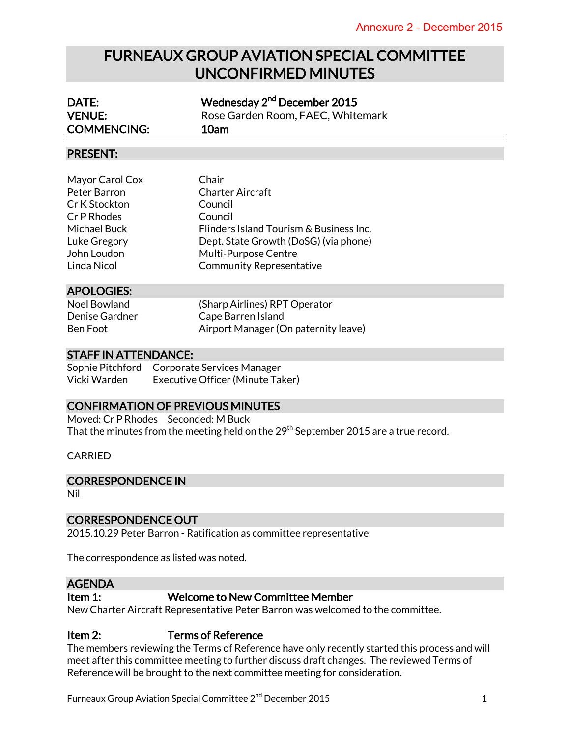# FURNEAUX GROUP AVIATION SPECIAL COMMITTEE UNCONFIRMED MINUTES

| DATE:               | Wednesday 2 <sup>nd</sup> December 2015 |
|---------------------|-----------------------------------------|
| <b>VENUE:</b>       | Rose Garden Room, FAEC, Whitemark       |
| <b>COMMENCING:</b>  | 10am                                    |
| <b>PRESENT:</b>     |                                         |
|                     |                                         |
| Mayor Carol Cox     | Chair                                   |
| Peter Barron        | Charter Aircraft                        |
| Cr K Stockton       | Council                                 |
| Cr P Rhodes         | Council                                 |
| Michael Buck        | Flinders Island Tourism & Business Inc. |
| Luke Gregory        | Dept. State Growth (DoSG) (via phone)   |
| John Loudon         | <b>Multi-Purpose Centre</b>             |
| Linda Nicol         | <b>Community Representative</b>         |
| <b>APOLOGIES:</b>   |                                         |
| <b>Noel Bowland</b> | (Sharp Airlines) RPT Operator           |
| Denise Gardner      | Cape Barren Island                      |
| Ben Foot            | Airport Manager (On paternity leave)    |

## STAFF IN ATTENDANCE:

Sophie Pitchford Corporate Services Manager Vicki Warden Executive Officer (Minute Taker)

## CONFIRMATION OF PREVIOUS MINUTES

Moved: Cr P Rhodes Seconded: M Buck That the minutes from the meeting held on the 29<sup>th</sup> September 2015 are a true record.

CARRIED

### CORRESPONDENCE IN

Nil

### CORRESPONDENCE OUT

2015.10.29 Peter Barron - Ratification as committee representative

The correspondence as listed was noted.

## AGENDA

## Item 1: Welcome to New Committee Member

New Charter Aircraft Representative Peter Barron was welcomed to the committee.

## Item 2: Terms of Reference

The members reviewing the Terms of Reference have only recently started this process and will meet after this committee meeting to further discuss draft changes. The reviewed Terms of Reference will be brought to the next committee meeting for consideration.

Furneaux Group Aviation Special Committee  $2^{nd}$  December 2015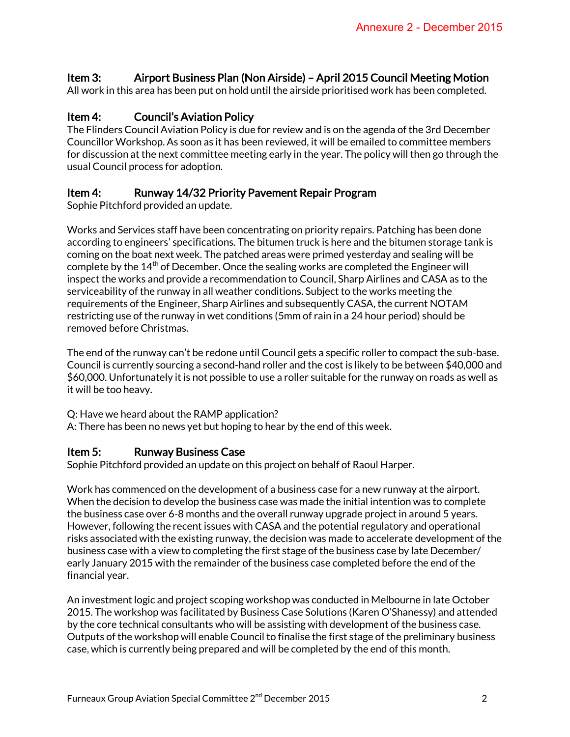# Item 3: Airport Business Plan (Non Airside) – April 2015 Council Meeting Motion

All work in this area has been put on hold until the airside prioritised work has been completed.

# Item 4: Council's Aviation Policy

The Flinders Council Aviation Policy is due for review and is on the agenda of the 3rd December Councillor Workshop. As soon as it has been reviewed, it will be emailed to committee members for discussion at the next committee meeting early in the year. The policy will then go through the usual Council process for adoption.

## Item 4: Runway 14/32 Priority Pavement Repair Program

Sophie Pitchford provided an update.

Works and Services staff have been concentrating on priority repairs. Patching has been done according to engineers' specifications. The bitumen truck is here and the bitumen storage tank is coming on the boat next week. The patched areas were primed yesterday and sealing will be complete by the 14<sup>th</sup> of December. Once the sealing works are completed the Engineer will inspect the works and provide a recommendation to Council, Sharp Airlines and CASA as to the serviceability of the runway in all weather conditions. Subject to the works meeting the requirements of the Engineer, Sharp Airlines and subsequently CASA, the current NOTAM restricting use of the runway in wet conditions (5mm of rain in a 24 hour period) should be removed before Christmas.

The end of the runway can't be redone until Council gets a specific roller to compact the sub-base. Council is currently sourcing a second-hand roller and the cost is likely to be between \$40,000 and \$60,000. Unfortunately it is not possible to use a roller suitable for the runway on roads as well as it will be too heavy.

Q: Have we heard about the RAMP application?

A: There has been no news yet but hoping to hear by the end of this week.

## Item 5: Runway Business Case

Sophie Pitchford provided an update on this project on behalf of Raoul Harper.

Work has commenced on the development of a business case for a new runway at the airport. When the decision to develop the business case was made the initial intention was to complete the business case over 6-8 months and the overall runway upgrade project in around 5 years. However, following the recent issues with CASA and the potential regulatory and operational risks associated with the existing runway, the decision was made to accelerate development of the business case with a view to completing the first stage of the business case by late December/ early January 2015 with the remainder of the business case completed before the end of the financial year.

An investment logic and project scoping workshop was conducted in Melbourne in late October 2015. The workshop was facilitated by Business Case Solutions (Karen O'Shanessy) and attended by the core technical consultants who will be assisting with development of the business case. Outputs of the workshop will enable Council to finalise the first stage of the preliminary business case, which is currently being prepared and will be completed by the end of this month.